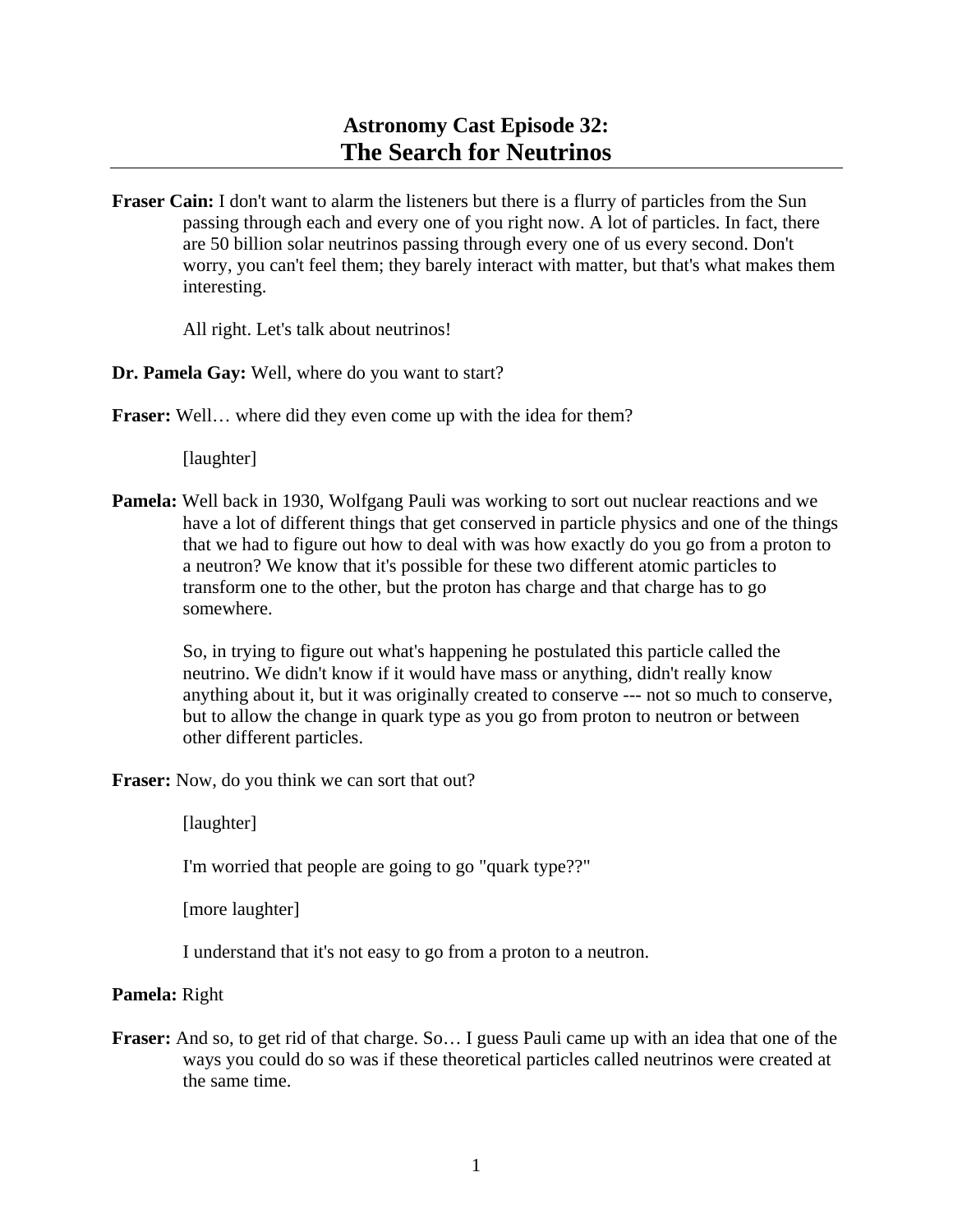## **Astronomy Cast Episode 32: The Search for Neutrinos**

**Fraser Cain:** I don't want to alarm the listeners but there is a flurry of particles from the Sun passing through each and every one of you right now. A lot of particles. In fact, there are 50 billion solar neutrinos passing through every one of us every second. Don't worry, you can't feel them; they barely interact with matter, but that's what makes them interesting.

All right. Let's talk about neutrinos!

**Dr. Pamela Gay:** Well, where do you want to start?

**Fraser:** Well… where did they even come up with the idea for them?

[laughter]

**Pamela:** Well back in 1930, Wolfgang Pauli was working to sort out nuclear reactions and we have a lot of different things that get conserved in particle physics and one of the things that we had to figure out how to deal with was how exactly do you go from a proton to a neutron? We know that it's possible for these two different atomic particles to transform one to the other, but the proton has charge and that charge has to go somewhere.

 So, in trying to figure out what's happening he postulated this particle called the neutrino. We didn't know if it would have mass or anything, didn't really know anything about it, but it was originally created to conserve --- not so much to conserve, but to allow the change in quark type as you go from proton to neutron or between other different particles.

**Fraser:** Now, do you think we can sort that out?

[laughter]

I'm worried that people are going to go "quark type??"

[more laughter]

I understand that it's not easy to go from a proton to a neutron.

## **Pamela:** Right

**Fraser:** And so, to get rid of that charge. So… I guess Pauli came up with an idea that one of the ways you could do so was if these theoretical particles called neutrinos were created at the same time.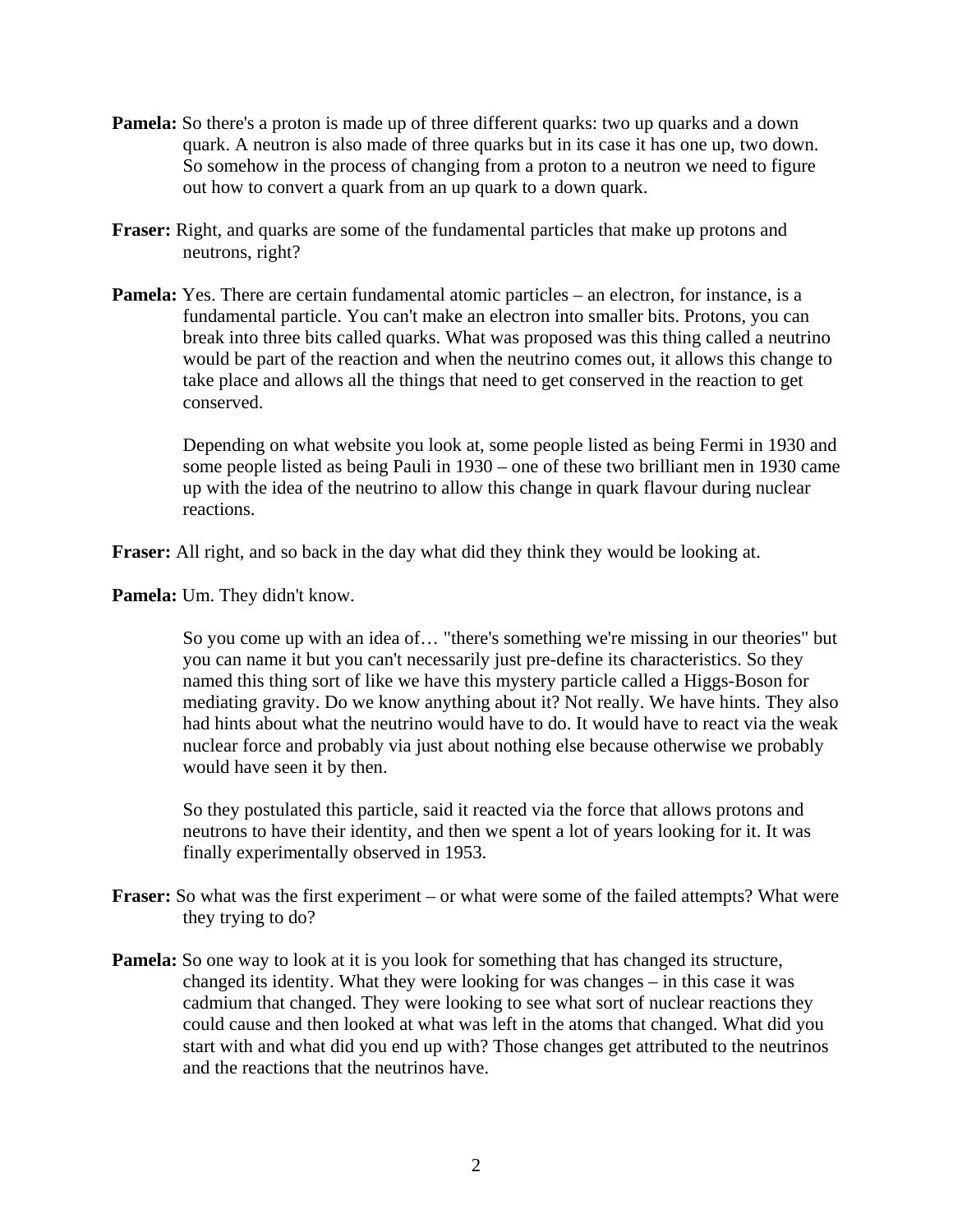- **Pamela:** So there's a proton is made up of three different quarks: two up quarks and a down quark. A neutron is also made of three quarks but in its case it has one up, two down. So somehow in the process of changing from a proton to a neutron we need to figure out how to convert a quark from an up quark to a down quark.
- **Fraser:** Right, and quarks are some of the fundamental particles that make up protons and neutrons, right?
- **Pamela:** Yes. There are certain fundamental atomic particles an electron, for instance, is a fundamental particle. You can't make an electron into smaller bits. Protons, you can break into three bits called quarks. What was proposed was this thing called a neutrino would be part of the reaction and when the neutrino comes out, it allows this change to take place and allows all the things that need to get conserved in the reaction to get conserved.

 Depending on what website you look at, some people listed as being Fermi in 1930 and some people listed as being Pauli in 1930 – one of these two brilliant men in 1930 came up with the idea of the neutrino to allow this change in quark flavour during nuclear reactions.

**Fraser:** All right, and so back in the day what did they think they would be looking at.

**Pamela:** Um. They didn't know.

 So you come up with an idea of… "there's something we're missing in our theories" but you can name it but you can't necessarily just pre-define its characteristics. So they named this thing sort of like we have this mystery particle called a Higgs-Boson for mediating gravity. Do we know anything about it? Not really. We have hints. They also had hints about what the neutrino would have to do. It would have to react via the weak nuclear force and probably via just about nothing else because otherwise we probably would have seen it by then.

 So they postulated this particle, said it reacted via the force that allows protons and neutrons to have their identity, and then we spent a lot of years looking for it. It was finally experimentally observed in 1953.

- **Fraser:** So what was the first experiment or what were some of the failed attempts? What were they trying to do?
- **Pamela:** So one way to look at it is you look for something that has changed its structure, changed its identity. What they were looking for was changes – in this case it was cadmium that changed. They were looking to see what sort of nuclear reactions they could cause and then looked at what was left in the atoms that changed. What did you start with and what did you end up with? Those changes get attributed to the neutrinos and the reactions that the neutrinos have.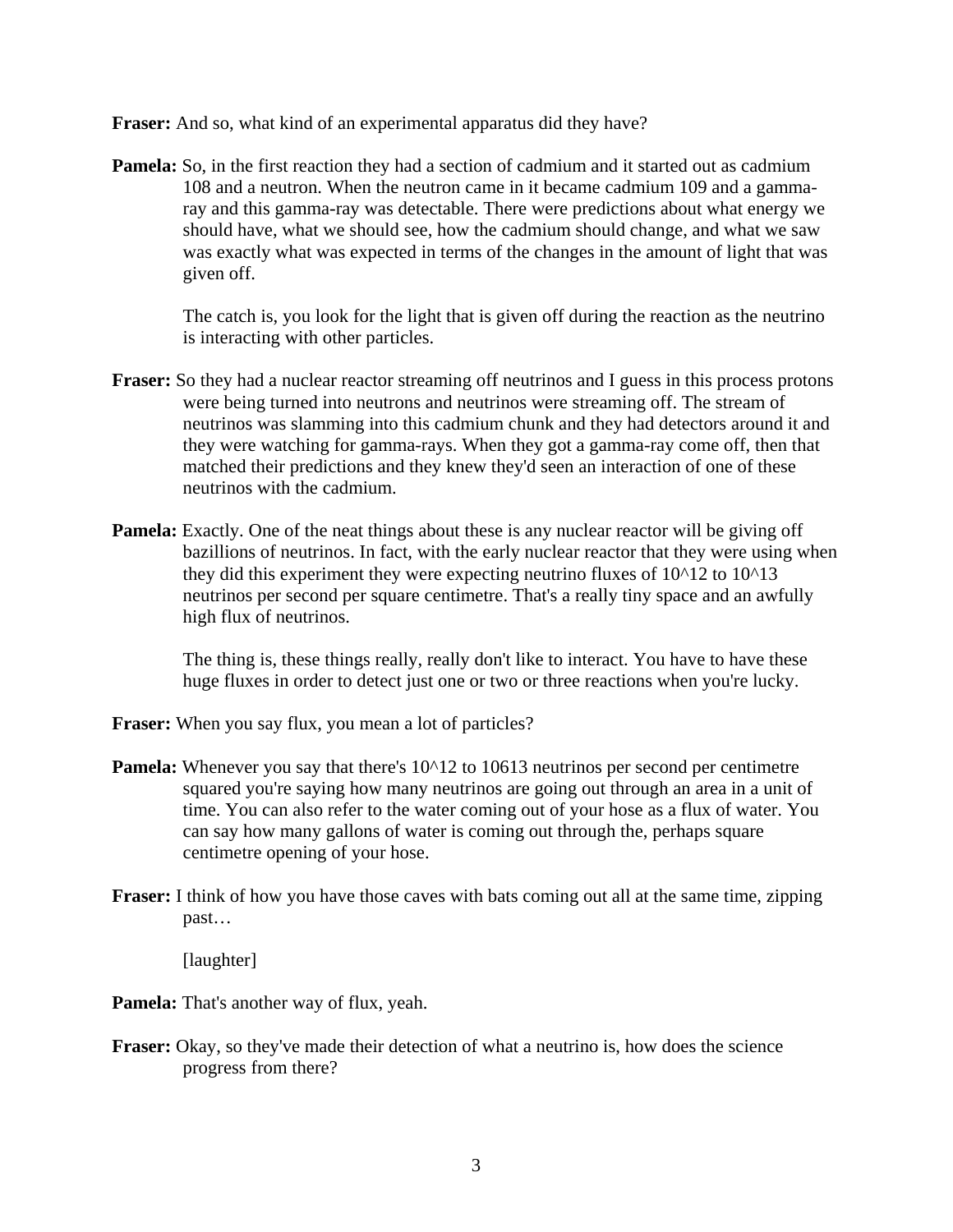**Fraser:** And so, what kind of an experimental apparatus did they have?

**Pamela:** So, in the first reaction they had a section of cadmium and it started out as cadmium 108 and a neutron. When the neutron came in it became cadmium 109 and a gammaray and this gamma-ray was detectable. There were predictions about what energy we should have, what we should see, how the cadmium should change, and what we saw was exactly what was expected in terms of the changes in the amount of light that was given off.

 The catch is, you look for the light that is given off during the reaction as the neutrino is interacting with other particles.

- **Fraser:** So they had a nuclear reactor streaming off neutrinos and I guess in this process protons were being turned into neutrons and neutrinos were streaming off. The stream of neutrinos was slamming into this cadmium chunk and they had detectors around it and they were watching for gamma-rays. When they got a gamma-ray come off, then that matched their predictions and they knew they'd seen an interaction of one of these neutrinos with the cadmium.
- **Pamela:** Exactly. One of the neat things about these is any nuclear reactor will be giving off bazillions of neutrinos. In fact, with the early nuclear reactor that they were using when they did this experiment they were expecting neutrino fluxes of 10^12 to 10^13 neutrinos per second per square centimetre. That's a really tiny space and an awfully high flux of neutrinos.

 The thing is, these things really, really don't like to interact. You have to have these huge fluxes in order to detect just one or two or three reactions when you're lucky.

- **Fraser:** When you say flux, you mean a lot of particles?
- **Pamela:** Whenever you say that there's  $10<sup>12</sup>$  to 10613 neutrinos per second per centimetre squared you're saying how many neutrinos are going out through an area in a unit of time. You can also refer to the water coming out of your hose as a flux of water. You can say how many gallons of water is coming out through the, perhaps square centimetre opening of your hose.
- **Fraser:** I think of how you have those caves with bats coming out all at the same time, zipping past…

[laughter]

- **Pamela:** That's another way of flux, yeah.
- **Fraser:** Okay, so they've made their detection of what a neutrino is, how does the science progress from there?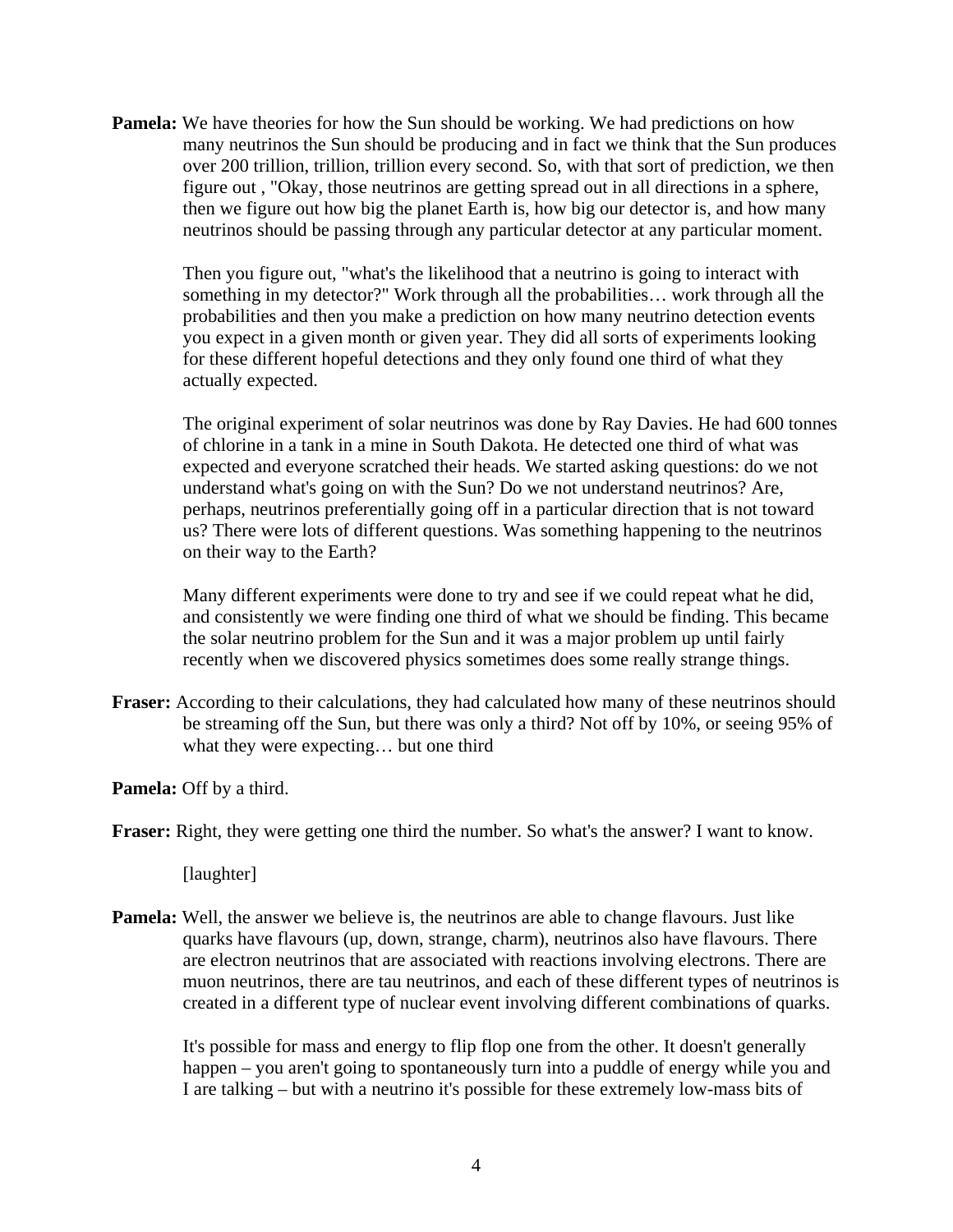**Pamela:** We have theories for how the Sun should be working. We had predictions on how many neutrinos the Sun should be producing and in fact we think that the Sun produces over 200 trillion, trillion, trillion every second. So, with that sort of prediction, we then figure out , "Okay, those neutrinos are getting spread out in all directions in a sphere, then we figure out how big the planet Earth is, how big our detector is, and how many neutrinos should be passing through any particular detector at any particular moment.

 Then you figure out, "what's the likelihood that a neutrino is going to interact with something in my detector?" Work through all the probabilities… work through all the probabilities and then you make a prediction on how many neutrino detection events you expect in a given month or given year. They did all sorts of experiments looking for these different hopeful detections and they only found one third of what they actually expected.

 The original experiment of solar neutrinos was done by Ray Davies. He had 600 tonnes of chlorine in a tank in a mine in South Dakota. He detected one third of what was expected and everyone scratched their heads. We started asking questions: do we not understand what's going on with the Sun? Do we not understand neutrinos? Are, perhaps, neutrinos preferentially going off in a particular direction that is not toward us? There were lots of different questions. Was something happening to the neutrinos on their way to the Earth?

 Many different experiments were done to try and see if we could repeat what he did, and consistently we were finding one third of what we should be finding. This became the solar neutrino problem for the Sun and it was a major problem up until fairly recently when we discovered physics sometimes does some really strange things.

**Fraser:** According to their calculations, they had calculated how many of these neutrinos should be streaming off the Sun, but there was only a third? Not off by 10%, or seeing 95% of what they were expecting… but one third

**Pamela:** Off by a third.

**Fraser:** Right, they were getting one third the number. So what's the answer? I want to know.

[laughter]

**Pamela:** Well, the answer we believe is, the neutrinos are able to change flavours. Just like quarks have flavours (up, down, strange, charm), neutrinos also have flavours. There are electron neutrinos that are associated with reactions involving electrons. There are muon neutrinos, there are tau neutrinos, and each of these different types of neutrinos is created in a different type of nuclear event involving different combinations of quarks.

 It's possible for mass and energy to flip flop one from the other. It doesn't generally happen – you aren't going to spontaneously turn into a puddle of energy while you and I are talking – but with a neutrino it's possible for these extremely low-mass bits of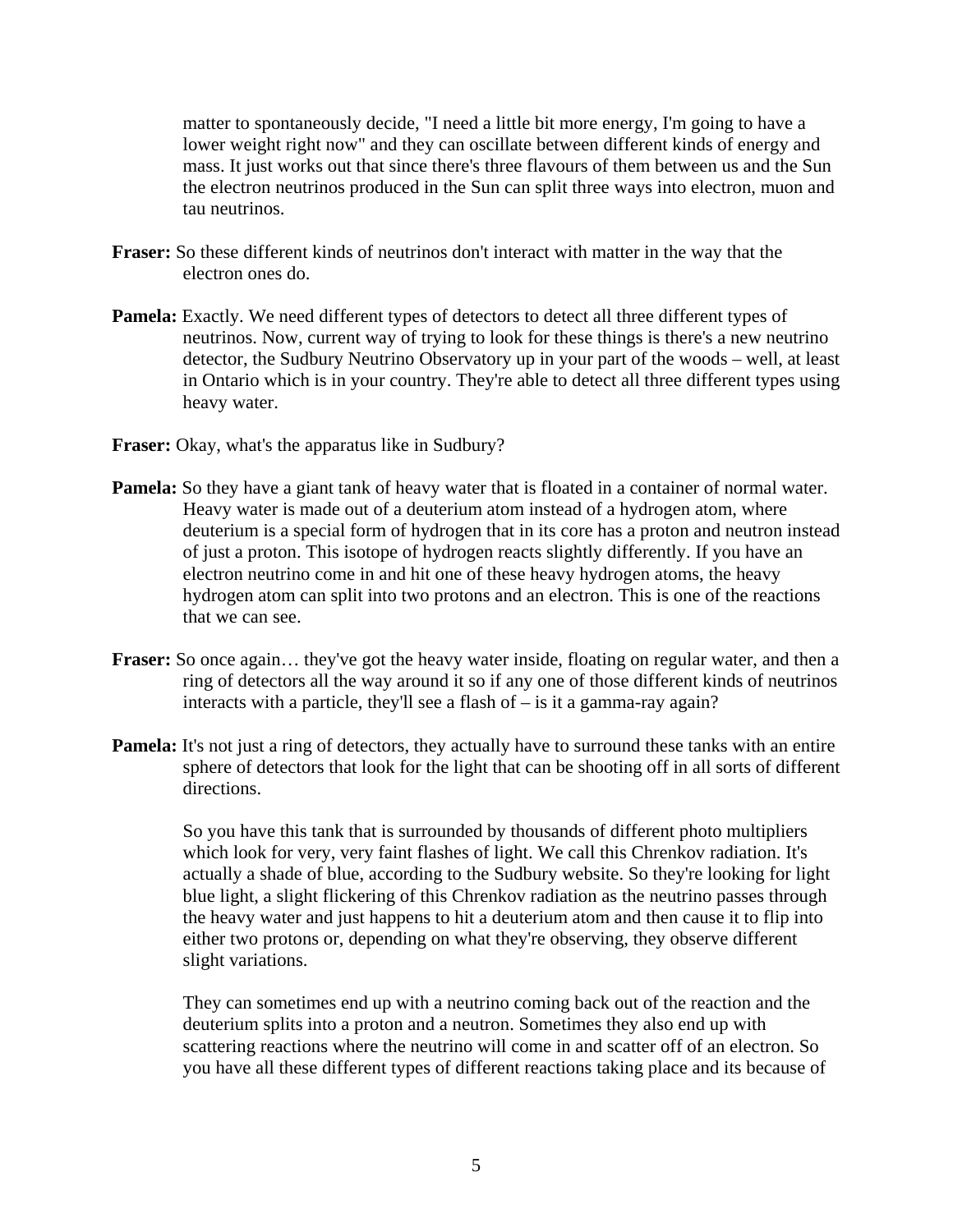matter to spontaneously decide, "I need a little bit more energy, I'm going to have a lower weight right now" and they can oscillate between different kinds of energy and mass. It just works out that since there's three flavours of them between us and the Sun the electron neutrinos produced in the Sun can split three ways into electron, muon and tau neutrinos.

- **Fraser:** So these different kinds of neutrinos don't interact with matter in the way that the electron ones do.
- **Pamela:** Exactly. We need different types of detectors to detect all three different types of neutrinos. Now, current way of trying to look for these things is there's a new neutrino detector, the Sudbury Neutrino Observatory up in your part of the woods – well, at least in Ontario which is in your country. They're able to detect all three different types using heavy water.
- **Fraser:** Okay, what's the apparatus like in Sudbury?
- **Pamela:** So they have a giant tank of heavy water that is floated in a container of normal water. Heavy water is made out of a deuterium atom instead of a hydrogen atom, where deuterium is a special form of hydrogen that in its core has a proton and neutron instead of just a proton. This isotope of hydrogen reacts slightly differently. If you have an electron neutrino come in and hit one of these heavy hydrogen atoms, the heavy hydrogen atom can split into two protons and an electron. This is one of the reactions that we can see.
- **Fraser:** So once again… they've got the heavy water inside, floating on regular water, and then a ring of detectors all the way around it so if any one of those different kinds of neutrinos interacts with a particle, they'll see a flash of – is it a gamma-ray again?
- **Pamela:** It's not just a ring of detectors, they actually have to surround these tanks with an entire sphere of detectors that look for the light that can be shooting off in all sorts of different directions.

 So you have this tank that is surrounded by thousands of different photo multipliers which look for very, very faint flashes of light. We call this Chrenkov radiation. It's actually a shade of blue, according to the Sudbury website. So they're looking for light blue light, a slight flickering of this Chrenkov radiation as the neutrino passes through the heavy water and just happens to hit a deuterium atom and then cause it to flip into either two protons or, depending on what they're observing, they observe different slight variations.

 They can sometimes end up with a neutrino coming back out of the reaction and the deuterium splits into a proton and a neutron. Sometimes they also end up with scattering reactions where the neutrino will come in and scatter off of an electron. So you have all these different types of different reactions taking place and its because of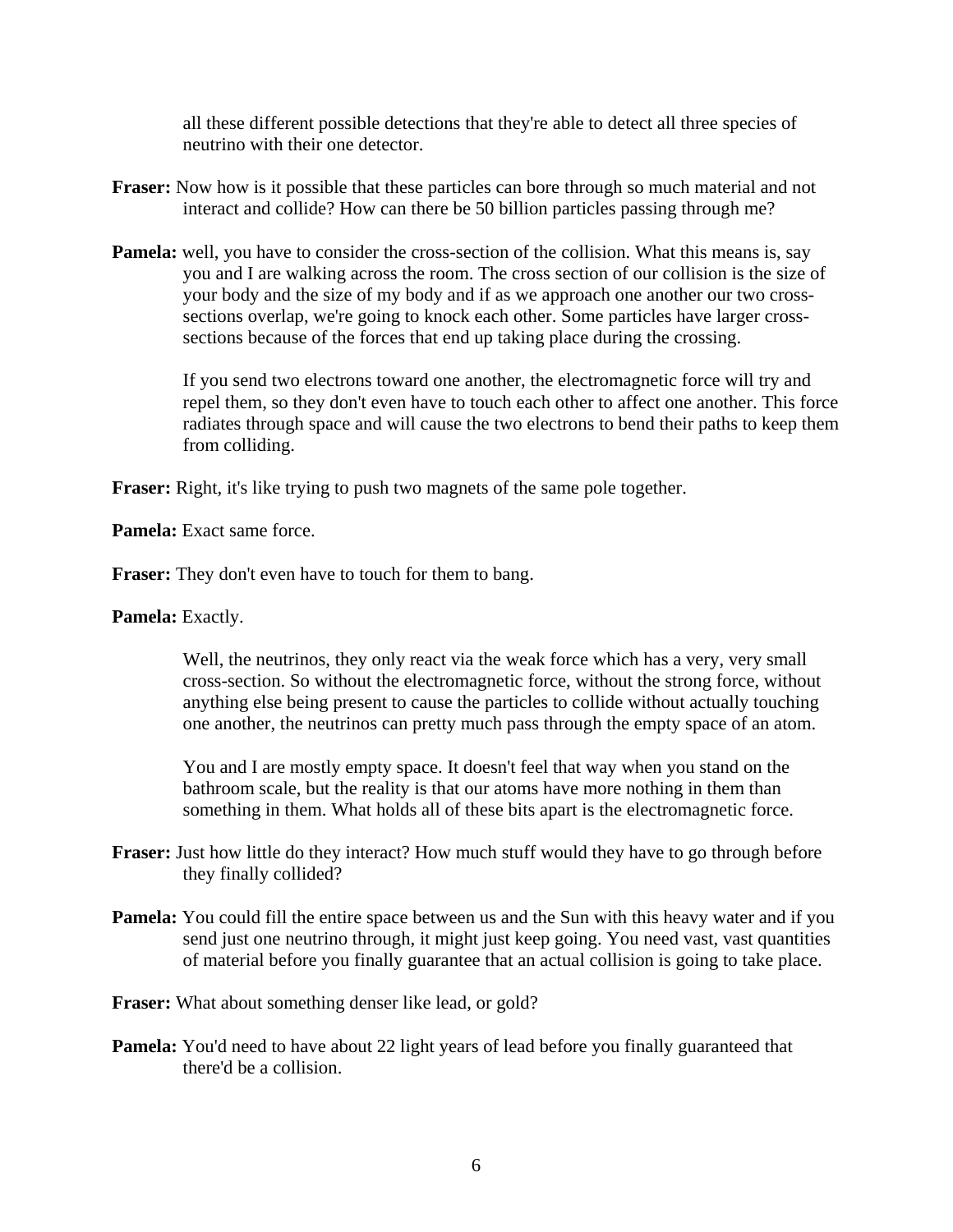all these different possible detections that they're able to detect all three species of neutrino with their one detector.

- **Fraser:** Now how is it possible that these particles can bore through so much material and not interact and collide? How can there be 50 billion particles passing through me?
- **Pamela:** well, you have to consider the cross-section of the collision. What this means is, say you and I are walking across the room. The cross section of our collision is the size of your body and the size of my body and if as we approach one another our two crosssections overlap, we're going to knock each other. Some particles have larger crosssections because of the forces that end up taking place during the crossing.

 If you send two electrons toward one another, the electromagnetic force will try and repel them, so they don't even have to touch each other to affect one another. This force radiates through space and will cause the two electrons to bend their paths to keep them from colliding.

**Fraser:** Right, it's like trying to push two magnets of the same pole together.

**Pamela:** Exact same force.

**Fraser:** They don't even have to touch for them to bang.

**Pamela:** Exactly.

 Well, the neutrinos, they only react via the weak force which has a very, very small cross-section. So without the electromagnetic force, without the strong force, without anything else being present to cause the particles to collide without actually touching one another, the neutrinos can pretty much pass through the empty space of an atom.

 You and I are mostly empty space. It doesn't feel that way when you stand on the bathroom scale, but the reality is that our atoms have more nothing in them than something in them. What holds all of these bits apart is the electromagnetic force.

- **Fraser:** Just how little do they interact? How much stuff would they have to go through before they finally collided?
- **Pamela:** You could fill the entire space between us and the Sun with this heavy water and if you send just one neutrino through, it might just keep going. You need vast, vast quantities of material before you finally guarantee that an actual collision is going to take place.

**Fraser:** What about something denser like lead, or gold?

**Pamela:** You'd need to have about 22 light years of lead before you finally guaranteed that there'd be a collision.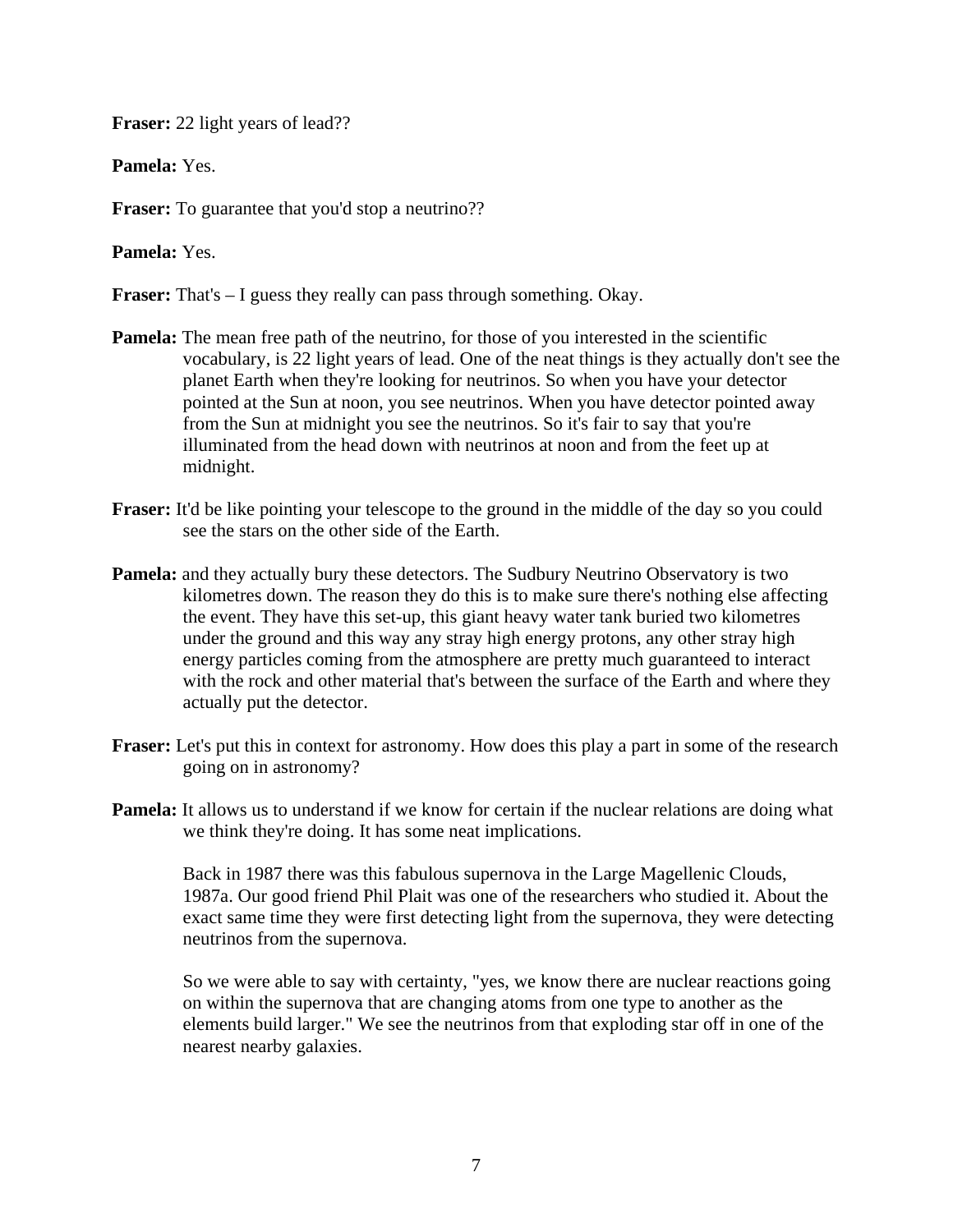**Fraser:** 22 light years of lead??

**Pamela:** Yes.

**Fraser:** To guarantee that you'd stop a neutrino??

**Pamela:** Yes.

**Fraser:** That's – I guess they really can pass through something. Okay.

- **Pamela:** The mean free path of the neutrino, for those of you interested in the scientific vocabulary, is 22 light years of lead. One of the neat things is they actually don't see the planet Earth when they're looking for neutrinos. So when you have your detector pointed at the Sun at noon, you see neutrinos. When you have detector pointed away from the Sun at midnight you see the neutrinos. So it's fair to say that you're illuminated from the head down with neutrinos at noon and from the feet up at midnight.
- **Fraser:** It'd be like pointing your telescope to the ground in the middle of the day so you could see the stars on the other side of the Earth.
- **Pamela:** and they actually bury these detectors. The Sudbury Neutrino Observatory is two kilometres down. The reason they do this is to make sure there's nothing else affecting the event. They have this set-up, this giant heavy water tank buried two kilometres under the ground and this way any stray high energy protons, any other stray high energy particles coming from the atmosphere are pretty much guaranteed to interact with the rock and other material that's between the surface of the Earth and where they actually put the detector.
- **Fraser:** Let's put this in context for astronomy. How does this play a part in some of the research going on in astronomy?
- **Pamela:** It allows us to understand if we know for certain if the nuclear relations are doing what we think they're doing. It has some neat implications.

 Back in 1987 there was this fabulous supernova in the Large Magellenic Clouds, 1987a. Our good friend Phil Plait was one of the researchers who studied it. About the exact same time they were first detecting light from the supernova, they were detecting neutrinos from the supernova.

 So we were able to say with certainty, "yes, we know there are nuclear reactions going on within the supernova that are changing atoms from one type to another as the elements build larger." We see the neutrinos from that exploding star off in one of the nearest nearby galaxies.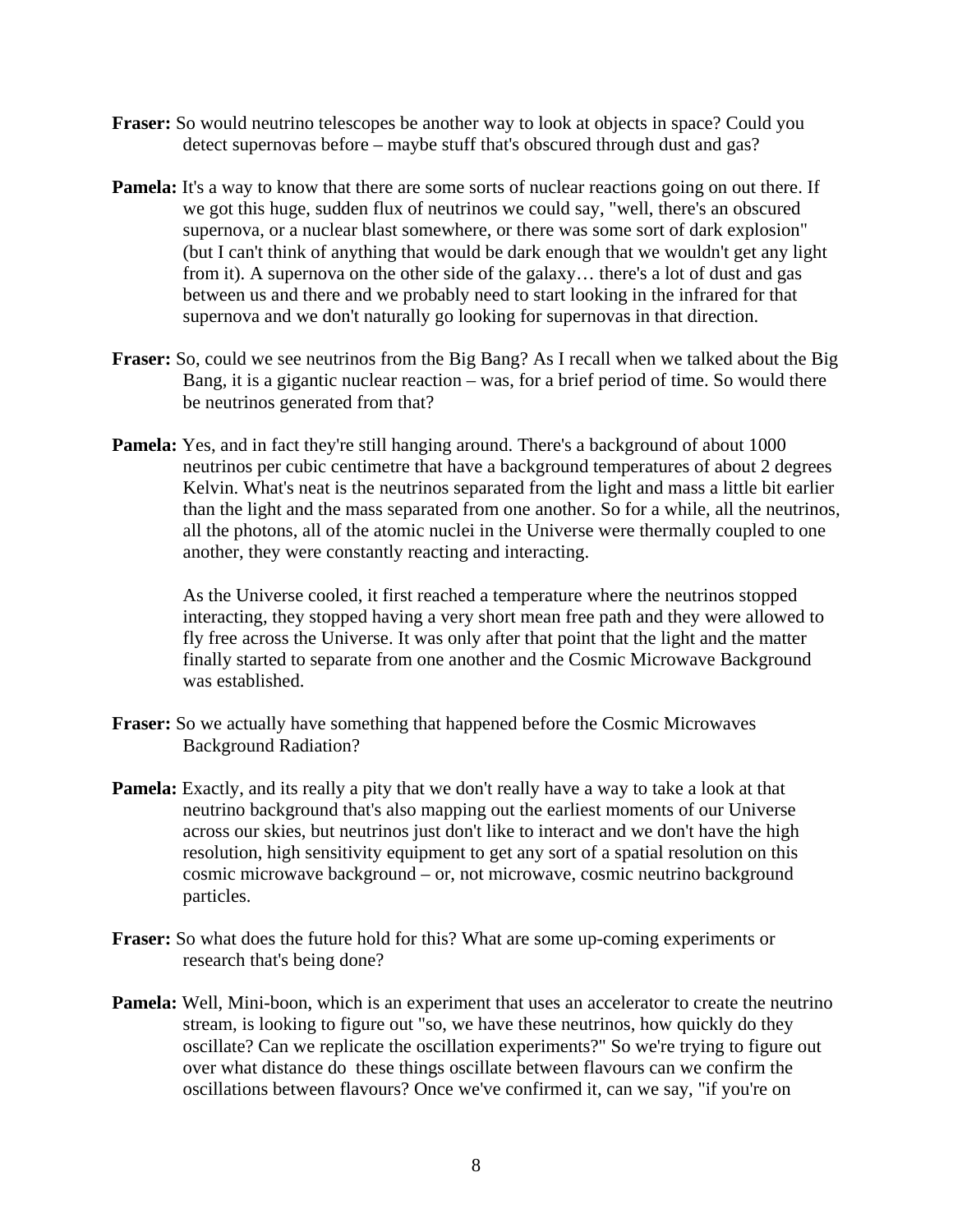- **Fraser:** So would neutrino telescopes be another way to look at objects in space? Could you detect supernovas before – maybe stuff that's obscured through dust and gas?
- **Pamela:** It's a way to know that there are some sorts of nuclear reactions going on out there. If we got this huge, sudden flux of neutrinos we could say, "well, there's an obscured supernova, or a nuclear blast somewhere, or there was some sort of dark explosion" (but I can't think of anything that would be dark enough that we wouldn't get any light from it). A supernova on the other side of the galaxy… there's a lot of dust and gas between us and there and we probably need to start looking in the infrared for that supernova and we don't naturally go looking for supernovas in that direction.
- **Fraser:** So, could we see neutrinos from the Big Bang? As I recall when we talked about the Big Bang, it is a gigantic nuclear reaction – was, for a brief period of time. So would there be neutrinos generated from that?
- **Pamela:** Yes, and in fact they're still hanging around. There's a background of about 1000 neutrinos per cubic centimetre that have a background temperatures of about 2 degrees Kelvin. What's neat is the neutrinos separated from the light and mass a little bit earlier than the light and the mass separated from one another. So for a while, all the neutrinos, all the photons, all of the atomic nuclei in the Universe were thermally coupled to one another, they were constantly reacting and interacting.

 As the Universe cooled, it first reached a temperature where the neutrinos stopped interacting, they stopped having a very short mean free path and they were allowed to fly free across the Universe. It was only after that point that the light and the matter finally started to separate from one another and the Cosmic Microwave Background was established.

- **Fraser:** So we actually have something that happened before the Cosmic Microwaves Background Radiation?
- **Pamela:** Exactly, and its really a pity that we don't really have a way to take a look at that neutrino background that's also mapping out the earliest moments of our Universe across our skies, but neutrinos just don't like to interact and we don't have the high resolution, high sensitivity equipment to get any sort of a spatial resolution on this cosmic microwave background – or, not microwave, cosmic neutrino background particles.
- **Fraser:** So what does the future hold for this? What are some up-coming experiments or research that's being done?
- **Pamela:** Well, Mini-boon, which is an experiment that uses an accelerator to create the neutrino stream, is looking to figure out "so, we have these neutrinos, how quickly do they oscillate? Can we replicate the oscillation experiments?" So we're trying to figure out over what distance do these things oscillate between flavours can we confirm the oscillations between flavours? Once we've confirmed it, can we say, "if you're on